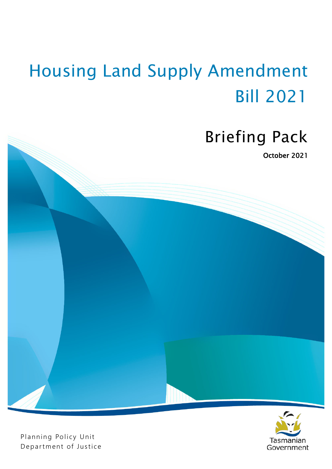# Housing Land Supply Amendment Bill 2021

# Briefing Pack

October 2021



Planning Policy Unit Department of Justice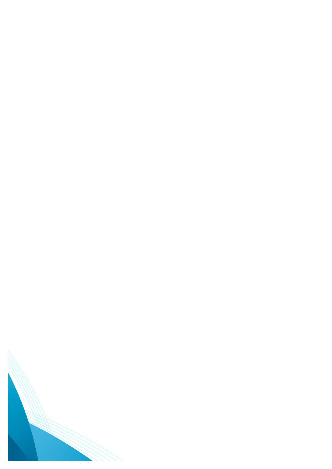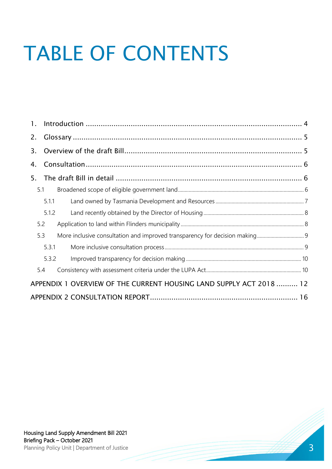# TABLE OF CONTENTS

| 2.                                                                  |       |                                                                             |  |  |  |
|---------------------------------------------------------------------|-------|-----------------------------------------------------------------------------|--|--|--|
| 3.                                                                  |       |                                                                             |  |  |  |
| 4.                                                                  |       |                                                                             |  |  |  |
| 5.                                                                  |       |                                                                             |  |  |  |
|                                                                     | 5.1   |                                                                             |  |  |  |
|                                                                     | 5.1.1 |                                                                             |  |  |  |
|                                                                     | 5.1.2 |                                                                             |  |  |  |
|                                                                     | 5.2   |                                                                             |  |  |  |
|                                                                     | 5.3   | More inclusive consultation and improved transparency for decision making 9 |  |  |  |
|                                                                     | 5.3.1 |                                                                             |  |  |  |
|                                                                     | 5.3.2 |                                                                             |  |  |  |
|                                                                     | 5.4   |                                                                             |  |  |  |
| APPENDIX 1 OVERVIEW OF THE CURRENT HOUSING LAND SUPPLY ACT 2018  12 |       |                                                                             |  |  |  |
|                                                                     |       |                                                                             |  |  |  |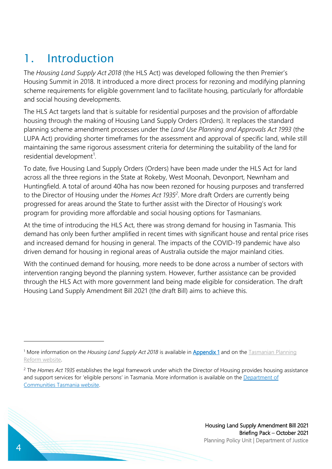# 1. Introduction

The *Housing Land Supply Act 2018* (the HLS Act) was developed following the then Premier's Housing Summit in 2018. It introduced a more direct process for rezoning and modifying planning scheme requirements for eligible government land to facilitate housing, particularly for affordable and social housing developments.

The HLS Act targets land that is suitable for residential purposes and the provision of affordable housing through the making of Housing Land Supply Orders (Orders). It replaces the standard planning scheme amendment processes under the *Land Use Planning and Approvals Act 1993* (the LUPA Act) providing shorter timeframes for the assessment and approval of specific land, while still maintaining the same rigorous assessment criteria for determining the suitability of the land for  $r$ esidential development $^1$  $^1$ .

To date, five Housing Land Supply Orders (Orders) have been made under the HLS Act for land across all the three regions in the State at Rokeby, West Moonah, Devonport, Newnham and Huntingfield. A total of around 40ha has now been rezoned for housing purposes and transferred to the Director of Housing under the *Homes Act 1935[2](#page-3-1)* . More draft Orders are currently being progressed for areas around the State to further assist with the Director of Housing's work program for providing more affordable and social housing options for Tasmanians.

At the time of introducing the HLS Act, there was strong demand for housing in Tasmania. This demand has only been further amplified in recent times with significant house and rental price rises and increased demand for housing in general. The impacts of the COVID-19 pandemic have also driven demand for housing in regional areas of Australia outside the major mainland cities.

With the continued demand for housing, more needs to be done across a number of sectors with intervention ranging beyond the planning system. However, further assistance can be provided through the HLS Act with more government land being made eligible for consideration. The draft Housing Land Supply Amendment Bill 2021 (the draft Bill) aims to achieve this.

 $\overline{a}$ 

<span id="page-3-0"></span><sup>&</sup>lt;sup>1</sup> More information on the *Housing Land Supply Act 2018* is available in **Appendix 1** and on the Tasmanian Planning [Reform website.](https://www.planningreform.tas.gov.au/planning/housing-land-supply-orders)

<span id="page-3-1"></span><sup>2</sup> The *Homes Act 1935* establishes the legal framework under which the Director of Housing provides housing assistance and support services for 'eligible persons' in Tasmania. More information is available on the Department of [Communities Tasmania website.](https://www.communities.tas.gov.au/housing/housing-connect/eligible-persons-under-the-homes-act)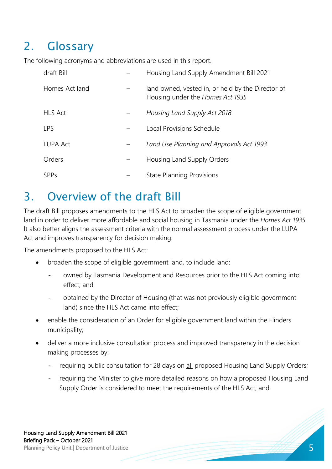# 2. Glossary

The following acronyms and abbreviations are used in this report.

| draft Bill      | Housing Land Supply Amendment Bill 2021                                               |
|-----------------|---------------------------------------------------------------------------------------|
| Homes Act land  | land owned, vested in, or held by the Director of<br>Housing under the Homes Act 1935 |
| <b>HLS Act</b>  | Housing Land Supply Act 2018                                                          |
| <b>LPS</b>      | Local Provisions Schedule                                                             |
| <b>LUPA Act</b> | Land Use Planning and Approvals Act 1993                                              |
| Orders          | Housing Land Supply Orders                                                            |
| <b>SPPs</b>     | <b>State Planning Provisions</b>                                                      |

# 3. Overview of the draft Bill

The draft Bill proposes amendments to the HLS Act to broaden the scope of eligible government land in order to deliver more affordable and social housing in Tasmania under the *Homes Act 1935*. It also better aligns the assessment criteria with the normal assessment process under the LUPA Act and improves transparency for decision making.

The amendments proposed to the HLS Act:

- broaden the scope of eligible government land, to include land:
	- owned by Tasmania Development and Resources prior to the HLS Act coming into effect; and
	- obtained by the Director of Housing (that was not previously eligible government land) since the HLS Act came into effect;
- enable the consideration of an Order for eligible government land within the Flinders municipality;
- deliver a more inclusive consultation process and improved transparency in the decision making processes by:
	- requiring public consultation for 28 days on all proposed Housing Land Supply Orders;
	- requiring the Minister to give more detailed reasons on how a proposed Housing Land Supply Order is considered to meet the requirements of the HLS Act; and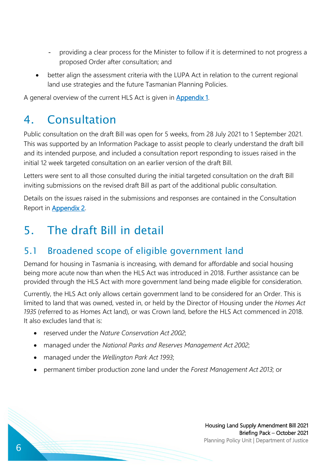- providing a clear process for the Minister to follow if it is determined to not progress a proposed Order after consultation; and
- better align the assessment criteria with the LUPA Act in relation to the current regional land use strategies and the future Tasmanian Planning Policies.

A general overview of the current HLS Act is given in [Appendix 1.](#page-11-0)

# 4. Consultation

Public consultation on the draft Bill was open for 5 weeks, from 28 July 2021 to 1 September 2021. This was supported by an Information Package to assist people to clearly understand the draft bill and its intended purpose, and included a consultation report responding to issues raised in the initial 12 week targeted consultation on an earlier version of the draft Bill.

Letters were sent to all those consulted during the initial targeted consultation on the draft Bill inviting submissions on the revised draft Bill as part of the additional public consultation.

Details on the issues raised in the submissions and responses are contained in the Consultation Report in [Appendix 2.](#page-15-0)

# 5. The draft Bill in detail

### 5.1 Broadened scope of eligible government land

Demand for housing in Tasmania is increasing, with demand for affordable and social housing being more acute now than when the HLS Act was introduced in 2018. Further assistance can be provided through the HLS Act with more government land being made eligible for consideration.

Currently, the HLS Act only allows certain government land to be considered for an Order. This is limited to land that was owned, vested in, or held by the Director of Housing under the *Homes Act 1935* (referred to as Homes Act land), or was Crown land, before the HLS Act commenced in 2018. It also excludes land that is:

- reserved under the *Nature Conservation Act 2002*;
- managed under the *National Parks and Reserves Management Act 2002*;
- managed under the *Wellington Park Act 1993*;
- permanent timber production zone land under the *Forest Management Act 2013*; or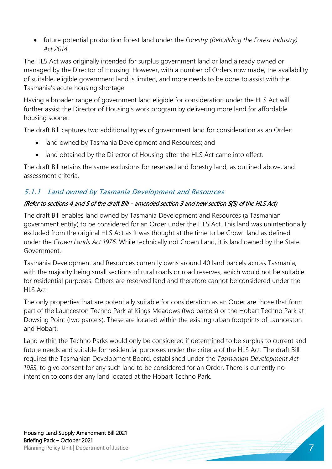• future potential production forest land under the *Forestry (Rebuilding the Forest Industry) Act 2014*.

The HLS Act was originally intended for surplus government land or land already owned or managed by the Director of Housing. However, with a number of Orders now made, the availability of suitable, eligible government land is limited, and more needs to be done to assist with the Tasmania's acute housing shortage.

Having a broader range of government land eligible for consideration under the HLS Act will further assist the Director of Housing's work program by delivering more land for affordable housing sooner.

The draft Bill captures two additional types of government land for consideration as an Order:

- land owned by Tasmania Development and Resources; and
- land obtained by the Director of Housing after the HLS Act came into effect.

The draft Bill retains the same exclusions for reserved and forestry land, as outlined above, and assessment criteria.

#### 5.1.1 Land owned by Tasmania Development and Resources

#### (Refer to sections 4 and 5 of the draft Bill - amended section 3 and new section 5(5) of the HLS Act)

The draft Bill enables land owned by Tasmania Development and Resources (a Tasmanian government entity) to be considered for an Order under the HLS Act. This land was unintentionally excluded from the original HLS Act as it was thought at the time to be Crown land as defined under the *Crown Lands Act 1976*. While technically not Crown Land, it is land owned by the State Government.

Tasmania Development and Resources currently owns around 40 land parcels across Tasmania, with the majority being small sections of rural roads or road reserves, which would not be suitable for residential purposes. Others are reserved land and therefore cannot be considered under the HLS Act.

The only properties that are potentially suitable for consideration as an Order are those that form part of the Launceston Techno Park at Kings Meadows (two parcels) or the Hobart Techno Park at Dowsing Point (two parcels). These are located within the existing urban footprints of Launceston and Hobart.

Land within the Techno Parks would only be considered if determined to be surplus to current and future needs and suitable for residential purposes under the criteria of the HLS Act. The draft Bill requires the Tasmanian Development Board, established under the *Tasmanian Development Act 1983*, to give consent for any such land to be considered for an Order. There is currently no intention to consider any land located at the Hobart Techno Park.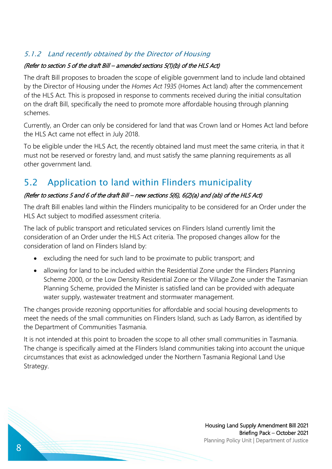#### 5.1.2 Land recently obtained by the Director of Housing

#### (Refer to section 5 of the draft Bill – amended sections 5(1)(b) of the HLS Act)

The draft Bill proposes to broaden the scope of eligible government land to include land obtained by the Director of Housing under the *Homes Act 1935* (Homes Act land) after the commencement of the HLS Act. This is proposed in response to comments received during the initial consultation on the draft Bill, specifically the need to promote more affordable housing through planning schemes.

Currently, an Order can only be considered for land that was Crown land or Homes Act land before the HLS Act came not effect in July 2018.

To be eligible under the HLS Act, the recently obtained land must meet the same criteria, in that it must not be reserved or forestry land, and must satisfy the same planning requirements as all other government land.

## 5.2 Application to land within Flinders municipality

#### (Refer to sections 5 and 6 of the draft Bill – new sections 5(6), 6(2)(a) and (ab) of the HLS Act)

The draft Bill enables land within the Flinders municipality to be considered for an Order under the HLS Act subject to modified assessment criteria.

The lack of public transport and reticulated services on Flinders Island currently limit the consideration of an Order under the HLS Act criteria. The proposed changes allow for the consideration of land on Flinders Island by:

- excluding the need for such land to be proximate to public transport; and
- allowing for land to be included within the Residential Zone under the Flinders Planning Scheme 2000, or the Low Density Residential Zone or the Village Zone under the Tasmanian Planning Scheme, provided the Minister is satisfied land can be provided with adequate water supply, wastewater treatment and stormwater management.

The changes provide rezoning opportunities for affordable and social housing developments to meet the needs of the small communities on Flinders Island, such as Lady Barron, as identified by the Department of Communities Tasmania.

It is not intended at this point to broaden the scope to all other small communities in Tasmania. The change is specifically aimed at the Flinders Island communities taking into account the unique circumstances that exist as acknowledged under the Northern Tasmania Regional Land Use Strategy.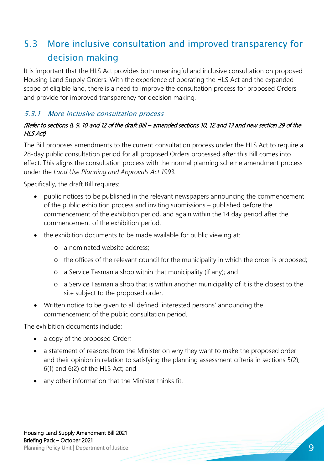# 5.3 More inclusive consultation and improved transparency for decision making

It is important that the HLS Act provides both meaningful and inclusive consultation on proposed Housing Land Supply Orders. With the experience of operating the HLS Act and the expanded scope of eligible land, there is a need to improve the consultation process for proposed Orders and provide for improved transparency for decision making.

#### 5.3.1 More inclusive consultation process

#### (Refer to sections 8, 9, 10 and 12 of the draft Bill – amended sections 10, 12 and 13 and new section 29 of the HLS Act)

The Bill proposes amendments to the current consultation process under the HLS Act to require a 28-day public consultation period for all proposed Orders processed after this Bill comes into effect. This aligns the consultation process with the normal planning scheme amendment process under the *Land Use Planning and Approvals Act 1993*.

Specifically, the draft Bill requires:

- public notices to be published in the relevant newspapers announcing the commencement of the public exhibition process and inviting submissions – published before the commencement of the exhibition period, and again within the 14 day period after the commencement of the exhibition period;
- the exhibition documents to be made available for public viewing at:
	- o a nominated website address;
	- o the offices of the relevant council for the municipality in which the order is proposed;
	- o a Service Tasmania shop within that municipality (if any); and
	- o a Service Tasmania shop that is within another municipality of it is the closest to the site subject to the proposed order.
- Written notice to be given to all defined 'interested persons' announcing the commencement of the public consultation period.

The exhibition documents include:

- a copy of the proposed Order;
- a statement of reasons from the Minister on why they want to make the proposed order and their opinion in relation to satisfying the planning assessment criteria in sections 5(2), 6(1) and 6(2) of the HLS Act; and
- any other information that the Minister thinks fit.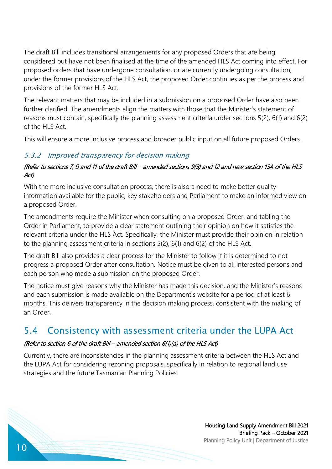The draft Bill includes transitional arrangements for any proposed Orders that are being considered but have not been finalised at the time of the amended HLS Act coming into effect. For proposed orders that have undergone consultation, or are currently undergoing consultation, under the former provisions of the HLS Act, the proposed Order continues as per the process and provisions of the former HLS Act.

The relevant matters that may be included in a submission on a proposed Order have also been further clarified. The amendments align the matters with those that the Minister's statement of reasons must contain, specifically the planning assessment criteria under sections 5(2), 6(1) and 6(2) of the HLS Act.

This will ensure a more inclusive process and broader public input on all future proposed Orders.

#### 5.3.2 Improved transparency for decision making

#### (Refer to sections 7, 9 and 11 of the draft Bill – amended sections 9(3) and 12 and new section 13A of the HLS Act)

With the more inclusive consultation process, there is also a need to make better quality information available for the public, key stakeholders and Parliament to make an informed view on a proposed Order.

The amendments require the Minister when consulting on a proposed Order, and tabling the Order in Parliament, to provide a clear statement outlining their opinion on how it satisfies the relevant criteria under the HLS Act. Specifically, the Minister must provide their opinion in relation to the planning assessment criteria in sections 5(2), 6(1) and 6(2) of the HLS Act.

The draft Bill also provides a clear process for the Minister to follow if it is determined to not progress a proposed Order after consultation. Notice must be given to all interested persons and each person who made a submission on the proposed Order.

The notice must give reasons why the Minister has made this decision, and the Minister's reasons and each submission is made available on the Department's website for a period of at least 6 months. This delivers transparency in the decision making process, consistent with the making of an Order.

### 5.4 Consistency with assessment criteria under the LUPA Act

#### (Refer to section 6 of the draft Bill – amended section 6(1)(a) of the HLS Act)

Currently, there are inconsistencies in the planning assessment criteria between the HLS Act and the LUPA Act for considering rezoning proposals, specifically in relation to regional land use strategies and the future Tasmanian Planning Policies.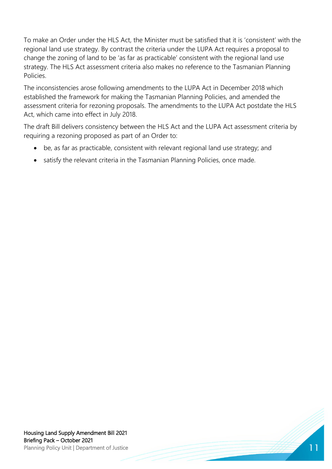To make an Order under the HLS Act, the Minister must be satisfied that it is 'consistent' with the regional land use strategy. By contrast the criteria under the LUPA Act requires a proposal to change the zoning of land to be 'as far as practicable' consistent with the regional land use strategy. The HLS Act assessment criteria also makes no reference to the Tasmanian Planning Policies.

The inconsistencies arose following amendments to the LUPA Act in December 2018 which established the framework for making the Tasmanian Planning Policies, and amended the assessment criteria for rezoning proposals. The amendments to the LUPA Act postdate the HLS Act, which came into effect in July 2018.

The draft Bill delivers consistency between the HLS Act and the LUPA Act assessment criteria by requiring a rezoning proposed as part of an Order to:

- be, as far as practicable, consistent with relevant regional land use strategy; and
- satisfy the relevant criteria in the Tasmanian Planning Policies, once made.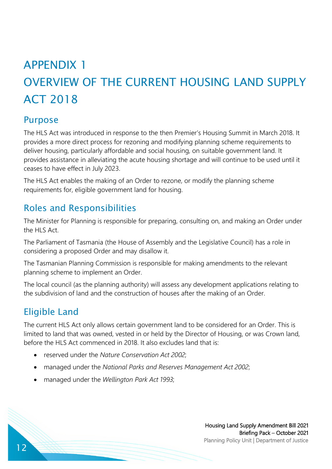# <span id="page-11-0"></span>APPENDIX 1 OVERVIEW OF THE CURRENT HOUSING LAND SUPPLY ACT 2018

### Purpose

The HLS Act was introduced in response to the then Premier's Housing Summit in March 2018. It provides a more direct process for rezoning and modifying planning scheme requirements to deliver housing, particularly affordable and social housing, on suitable government land. It provides assistance in alleviating the acute housing shortage and will continue to be used until it ceases to have effect in July 2023.

The HLS Act enables the making of an Order to rezone, or modify the planning scheme requirements for, eligible government land for housing.

### Roles and Responsibilities

The Minister for Planning is responsible for preparing, consulting on, and making an Order under the HLS Act.

The Parliament of Tasmania (the House of Assembly and the Legislative Council) has a role in considering a proposed Order and may disallow it.

The Tasmanian Planning Commission is responsible for making amendments to the relevant planning scheme to implement an Order.

The local council (as the planning authority) will assess any development applications relating to the subdivision of land and the construction of houses after the making of an Order.

### Eligible Land

The current HLS Act only allows certain government land to be considered for an Order. This is limited to land that was owned, vested in or held by the Director of Housing, or was Crown land, before the HLS Act commenced in 2018. It also excludes land that is:

- reserved under the *Nature Conservation Act 2002*;
- managed under the *National Parks and Reserves Management Act 2002*;
- managed under the *Wellington Park Act 1993*;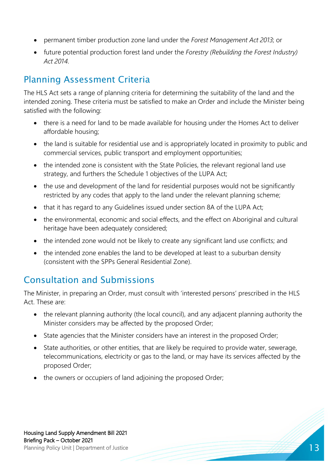- permanent timber production zone land under the *Forest Management Act 2013*; or
- future potential production forest land under the *Forestry (Rebuilding the Forest Industry) Act 2014*.

## Planning Assessment Criteria

The HLS Act sets a range of planning criteria for determining the suitability of the land and the intended zoning. These criteria must be satisfied to make an Order and include the Minister being satisfied with the following:

- there is a need for land to be made available for housing under the Homes Act to deliver affordable housing;
- the land is suitable for residential use and is appropriately located in proximity to public and commercial services, public transport and employment opportunities;
- the intended zone is consistent with the State Policies, the relevant regional land use strategy, and furthers the Schedule 1 objectives of the LUPA Act;
- the use and development of the land for residential purposes would not be significantly restricted by any codes that apply to the land under the relevant planning scheme;
- that it has regard to any Guidelines issued under section 8A of the LUPA Act;
- the environmental, economic and social effects, and the effect on Aboriginal and cultural heritage have been adequately considered;
- the intended zone would not be likely to create any significant land use conflicts; and
- the intended zone enables the land to be developed at least to a suburban density (consistent with the SPPs General Residential Zone).

## Consultation and Submissions

The Minister, in preparing an Order, must consult with 'interested persons' prescribed in the HLS Act. These are:

- the relevant planning authority (the local council), and any adjacent planning authority the Minister considers may be affected by the proposed Order;
- State agencies that the Minister considers have an interest in the proposed Order;
- State authorities, or other entities, that are likely be required to provide water, sewerage, telecommunications, electricity or gas to the land, or may have its services affected by the proposed Order;
- the owners or occupiers of land adjoining the proposed Order;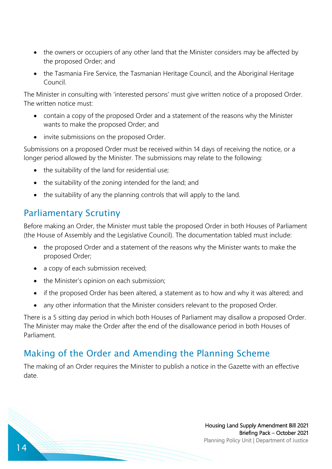- the owners or occupiers of any other land that the Minister considers may be affected by the proposed Order; and
- the Tasmania Fire Service, the Tasmanian Heritage Council, and the Aboriginal Heritage Council.

The Minister in consulting with 'interested persons' must give written notice of a proposed Order. The written notice must:

- contain a copy of the proposed Order and a statement of the reasons why the Minister wants to make the proposed Order; and
- invite submissions on the proposed Order.

Submissions on a proposed Order must be received within 14 days of receiving the notice, or a longer period allowed by the Minister. The submissions may relate to the following:

- the suitability of the land for residential use;
- the suitability of the zoning intended for the land; and
- the suitability of any the planning controls that will apply to the land.

### Parliamentary Scrutiny

Before making an Order, the Minister must table the proposed Order in both Houses of Parliament (the House of Assembly and the Legislative Council). The documentation tabled must include:

- the proposed Order and a statement of the reasons why the Minister wants to make the proposed Order;
- a copy of each submission received;
- the Minister's opinion on each submission;
- if the proposed Order has been altered, a statement as to how and why it was altered; and
- any other information that the Minister considers relevant to the proposed Order.

There is a 5 sitting day period in which both Houses of Parliament may disallow a proposed Order. The Minister may make the Order after the end of the disallowance period in both Houses of Parliament.

### Making of the Order and Amending the Planning Scheme

The making of an Order requires the Minister to publish a notice in the Gazette with an effective date.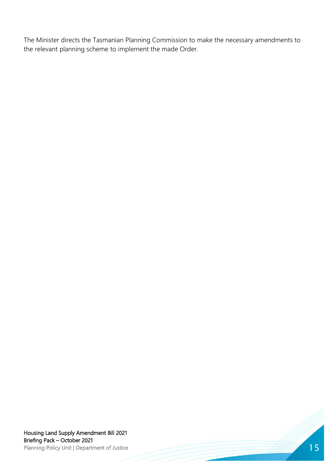The Minister directs the Tasmanian Planning Commission to make the necessary amendments to the relevant planning scheme to implement the made Order.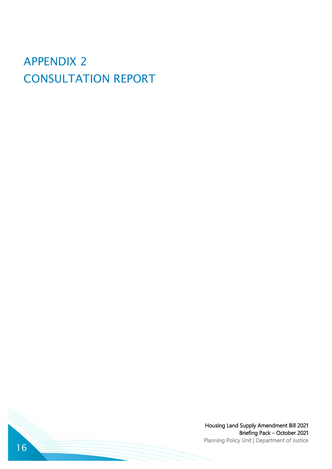# <span id="page-15-0"></span>APPENDIX 2 CONSULTATION REPORT